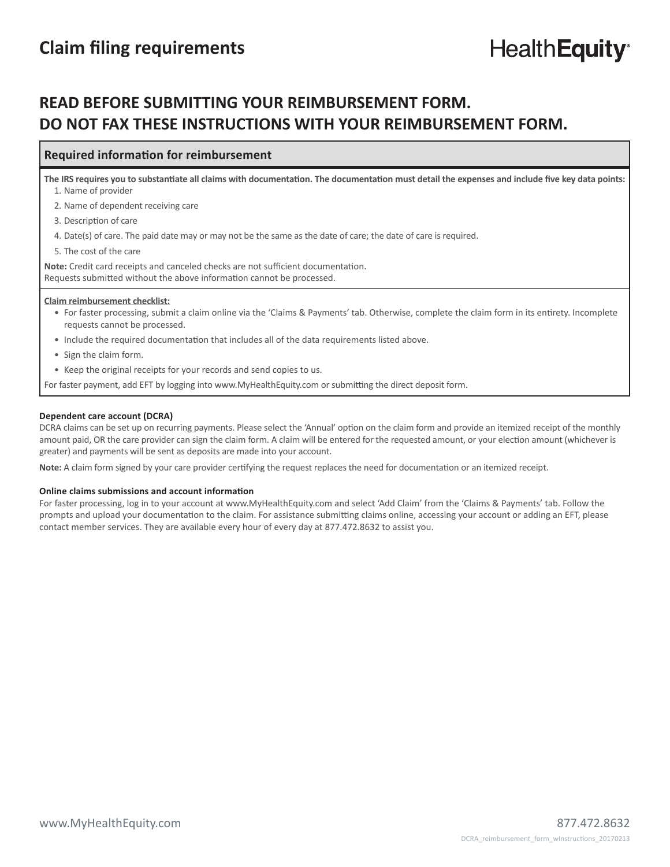# **READ BEFORE SUBMITTING YOUR REIMBURSEMENT FORM. DO NOT FAX THESE INSTRUCTIONS WITH YOUR REIMBURSEMENT FORM.**

### **Required information for reimbursement**

The IRS requires you to substantiate all claims with documentation. The documentation must detail the expenses and include five key data points: 1. Name of provider

2. Name of dependent receiving care

3. Description of care

4. Date(s) of care. The paid date may or may not be the same as the date of care; the date of care is required.

5. The cost of the care

Note: Credit card receipts and canceled checks are not sufficient documentation. Requests submitted without the above information cannot be processed.

#### **Claim reimbursement checklist:**

- For faster processing, submit a claim online via the 'Claims & Payments' tab. Otherwise, complete the claim form in its entirety. Incomplete requests cannot be processed.
- Include the required documentation that includes all of the data requirements listed above.
- Sign the claim form.
- Keep the original receipts for your records and send copies to us.

For faster payment, add EFT by logging into www.MyHealthEquity.com or submitting the direct deposit form.

#### **Dependent care account (DCRA)**

DCRA claims can be set up on recurring payments. Please select the 'Annual' option on the claim form and provide an itemized receipt of the monthly amount paid, OR the care provider can sign the claim form. A claim will be entered for the requested amount, or your election amount (whichever is greater) and payments will be sent as deposits are made into your account.

**Note:** A claim form signed by your care provider certifying the request replaces the need for documentation or an itemized receipt.

#### **Online claims submissions and account information**

For faster processing, log in to your account at www.MyHealthEquity.com and select 'Add Claim' from the 'Claims & Payments' tab. Follow the prompts and upload your documentation to the claim. For assistance submitting claims online, accessing your account or adding an EFT, please contact member services. They are available every hour of every day at 877.472.8632 to assist you.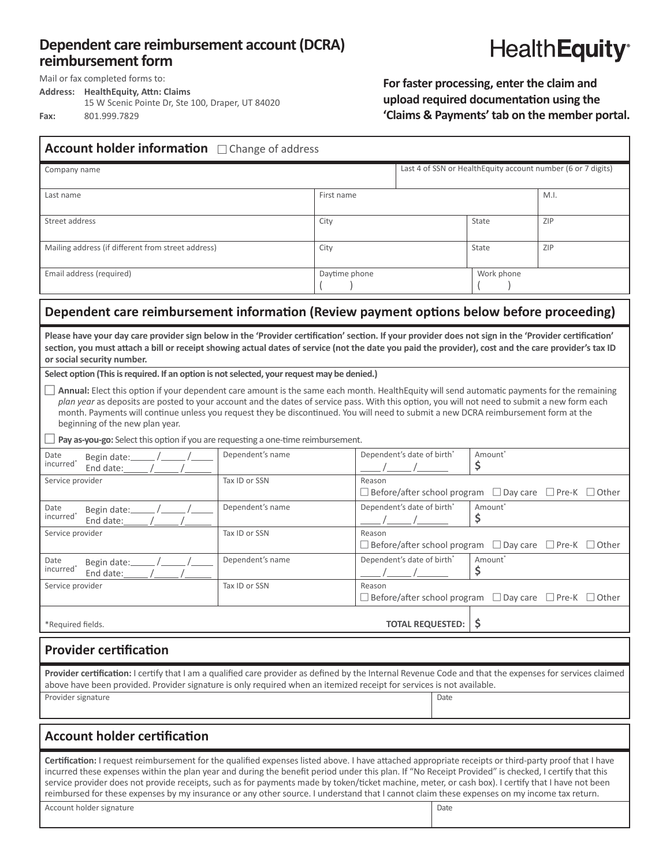## **Dependent care reimbursement account (DCRA)** reimbursement form



Mail or fax completed forms to:

**Address:** HealthEquity, Attn: Claims

15 W Scenic Pointe Dr, Ste 100, Draper, UT 84020 **Fax:** 801.999.7829

For faster processing, enter the claim and upload required documentation using the 'Claims & Payments' tab on the member portal.

| Account holder information <b>Change of address</b>                                                                                                                                                                                                                                                                                                                                                                                                                                                                                                                                                                                                        |                  |               |                                                                    |                                                               |            |                                                                              |  |
|------------------------------------------------------------------------------------------------------------------------------------------------------------------------------------------------------------------------------------------------------------------------------------------------------------------------------------------------------------------------------------------------------------------------------------------------------------------------------------------------------------------------------------------------------------------------------------------------------------------------------------------------------------|------------------|---------------|--------------------------------------------------------------------|---------------------------------------------------------------|------------|------------------------------------------------------------------------------|--|
| Company name                                                                                                                                                                                                                                                                                                                                                                                                                                                                                                                                                                                                                                               |                  |               |                                                                    | Last 4 of SSN or HealthEquity account number (6 or 7 digits)  |            |                                                                              |  |
| Last name                                                                                                                                                                                                                                                                                                                                                                                                                                                                                                                                                                                                                                                  |                  | First name    |                                                                    |                                                               | M.I.       |                                                                              |  |
| Street address                                                                                                                                                                                                                                                                                                                                                                                                                                                                                                                                                                                                                                             |                  | City          |                                                                    |                                                               | State      | ZIP                                                                          |  |
| Mailing address (if different from street address)                                                                                                                                                                                                                                                                                                                                                                                                                                                                                                                                                                                                         |                  | City          |                                                                    |                                                               | State      | ZIP                                                                          |  |
| Email address (required)                                                                                                                                                                                                                                                                                                                                                                                                                                                                                                                                                                                                                                   |                  | Daytime phone |                                                                    |                                                               | Work phone |                                                                              |  |
| Dependent care reimbursement information (Review payment options below before proceeding)                                                                                                                                                                                                                                                                                                                                                                                                                                                                                                                                                                  |                  |               |                                                                    |                                                               |            |                                                                              |  |
| Please have your day care provider sign below in the 'Provider certification' section. If your provider does not sign in the 'Provider certification'<br>section, you must attach a bill or receipt showing actual dates of service (not the date you paid the provider), cost and the care provider's tax ID<br>or social security number.                                                                                                                                                                                                                                                                                                                |                  |               |                                                                    |                                                               |            |                                                                              |  |
| Select option (This is required. If an option is not selected, your request may be denied.)<br>Annual: Elect this option if your dependent care amount is the same each month. HealthEquity will send automatic payments for the remaining<br>plan year as deposits are posted to your account and the dates of service pass. With this option, you will not need to submit a new form each<br>month. Payments will continue unless you request they be discontinued. You will need to submit a new DCRA reimbursement form at the<br>beginning of the new plan year.<br>Pay as-you-go: Select this option if you are requesting a one-time reimbursement. |                  |               |                                                                    |                                                               |            |                                                                              |  |
| Date                                                                                                                                                                                                                                                                                                                                                                                                                                                                                                                                                                                                                                                       | Dependent's name |               |                                                                    | Dependent's date of birth <sup>*</sup><br>Amount <sup>*</sup> |            |                                                                              |  |
| Begin date: $\frac{1}{\sqrt{1-\frac{1}{2}}}$<br>$\mathsf{ incurred}^*$                                                                                                                                                                                                                                                                                                                                                                                                                                                                                                                                                                                     |                  |               |                                                                    | \$<br>$\frac{1}{\sqrt{2}}$                                    |            |                                                                              |  |
| Service provider                                                                                                                                                                                                                                                                                                                                                                                                                                                                                                                                                                                                                                           | Tax ID or SSN    |               | Reason<br>□ Before/after school program □ Day care □ Pre-K □ Other |                                                               |            |                                                                              |  |
| Date<br>Begin date: $\frac{1}{\sqrt{2\pi}}$ / $\frac{1}{\sqrt{2\pi}}$ / $\frac{1}{\sqrt{2\pi}}$<br>$\,$ incurred $\,$                                                                                                                                                                                                                                                                                                                                                                                                                                                                                                                                      | Dependent's name |               |                                                                    | Dependent's date of birth*<br>Amount <sup>*</sup><br>\$       |            |                                                                              |  |
| Service provider                                                                                                                                                                                                                                                                                                                                                                                                                                                                                                                                                                                                                                           | Tax ID or SSN    |               | Reason<br>□ Before/after school program □ Day care □ Pre-K □ Other |                                                               |            |                                                                              |  |
| Date<br>$\,$ incurred $\,$                                                                                                                                                                                                                                                                                                                                                                                                                                                                                                                                                                                                                                 | Dependent's name |               |                                                                    | Dependent's date of birth*<br>Amount <sup>*</sup><br>\$       |            |                                                                              |  |
| Service provider                                                                                                                                                                                                                                                                                                                                                                                                                                                                                                                                                                                                                                           | Tax ID or SSN    |               | Reason                                                             |                                                               |            | $\Box$ Before/after school program $\Box$ Day care $\Box$ Pre-K $\Box$ Other |  |
| \$<br><b>TOTAL REQUESTED:</b><br>*Required fields.                                                                                                                                                                                                                                                                                                                                                                                                                                                                                                                                                                                                         |                  |               |                                                                    |                                                               |            |                                                                              |  |
| <b>Provider certification</b>                                                                                                                                                                                                                                                                                                                                                                                                                                                                                                                                                                                                                              |                  |               |                                                                    |                                                               |            |                                                                              |  |
| Provider certification: I certify that I am a qualified care provider as defined by the Internal Revenue Code and that the expenses for services claimed<br>above have been provided. Provider signature is only required when an itemized receipt for services is not available.                                                                                                                                                                                                                                                                                                                                                                          |                  |               |                                                                    |                                                               |            |                                                                              |  |
| Provider signature<br>Date                                                                                                                                                                                                                                                                                                                                                                                                                                                                                                                                                                                                                                 |                  |               |                                                                    |                                                               |            |                                                                              |  |
| <b>Account holder certification</b>                                                                                                                                                                                                                                                                                                                                                                                                                                                                                                                                                                                                                        |                  |               |                                                                    |                                                               |            |                                                                              |  |
| Certification: I request reimbursement for the qualified expenses listed above. I have attached appropriate receipts or third-party proof that I have<br>incurred these expenses within the plan year and during the benefit period under this plan. If "No Receipt Provided" is checked, I certify that this<br>service provider does not provide receipts, such as for payments made by token/ticket machine, meter, or cash box). I certify that I have not been<br>reimbursed for these expenses by my insurance or any other source. I understand that I cannot claim these expenses on my income tax return.<br>Account holder signature<br>Date     |                  |               |                                                                    |                                                               |            |                                                                              |  |
|                                                                                                                                                                                                                                                                                                                                                                                                                                                                                                                                                                                                                                                            |                  |               |                                                                    |                                                               |            |                                                                              |  |